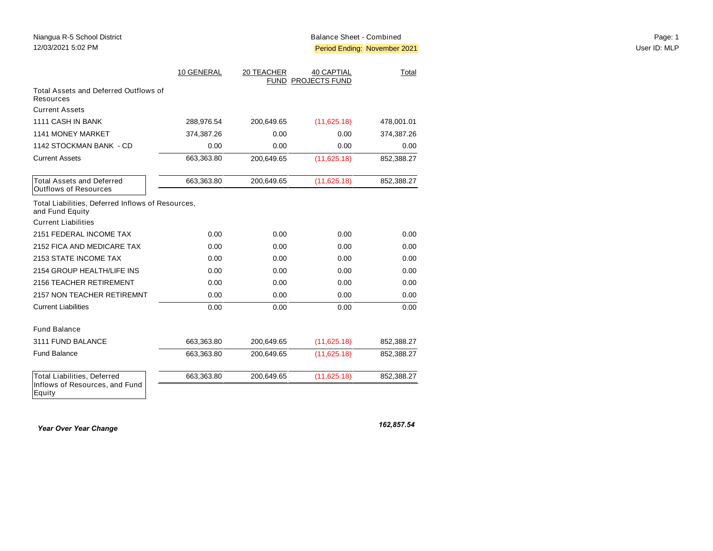|                                                                                | 10 GENERAL | 20 TEACHER | <b>40 CAPTIAL</b><br>FUND PROJECTS FUND | Total      |
|--------------------------------------------------------------------------------|------------|------------|-----------------------------------------|------------|
| Total Assets and Deferred Outflows of<br>Resources                             |            |            |                                         |            |
| <b>Current Assets</b>                                                          |            |            |                                         |            |
| 1111 CASH IN BANK                                                              | 288,976.54 | 200,649.65 | (11,625.18)                             | 478,001.01 |
| 1141 MONEY MARKET                                                              | 374,387.26 | 0.00       | 0.00                                    | 374,387.26 |
| 1142 STOCKMAN BANK - CD                                                        | 0.00       | 0.00       | 0.00                                    | 0.00       |
| <b>Current Assets</b>                                                          | 663,363.80 | 200,649.65 | (11,625.18)                             | 852,388.27 |
| <b>Total Assets and Deferred</b><br><b>Outflows of Resources</b>               | 663,363.80 | 200,649.65 | (11,625.18)                             | 852,388.27 |
| Total Liabilities, Deferred Inflows of Resources,<br>and Fund Equity           |            |            |                                         |            |
| <b>Current Liabilities</b>                                                     |            |            |                                         |            |
| 2151 FEDERAL INCOME TAX                                                        | 0.00       | 0.00       | 0.00                                    | 0.00       |
| 2152 FICA AND MEDICARE TAX                                                     | 0.00       | 0.00       | 0.00                                    | 0.00       |
| 2153 STATE INCOME TAX                                                          | 0.00       | 0.00       | 0.00                                    | 0.00       |
| 2154 GROUP HEALTH/LIFE INS                                                     | 0.00       | 0.00       | 0.00                                    | 0.00       |
| 2156 TEACHER RETIREMENT                                                        | 0.00       | 0.00       | 0.00                                    | 0.00       |
| 2157 NON TEACHER RETIREMNT                                                     | 0.00       | 0.00       | 0.00                                    | 0.00       |
| <b>Current Liabilities</b>                                                     | 0.00       | 0.00       | 0.00                                    | 0.00       |
| <b>Fund Balance</b>                                                            |            |            |                                         |            |
| 3111 FUND BALANCE                                                              | 663,363.80 | 200,649.65 | (11,625.18)                             | 852,388.27 |
| Fund Balance                                                                   | 663,363.80 | 200,649.65 | (11,625.18)                             | 852,388.27 |
| <b>Total Liabilities, Deferred</b><br>Inflows of Resources, and Fund<br>Equity | 663,363.80 | 200,649.65 | (11,625.18)                             | 852,388.27 |

*Year Over Year Change* 

*162,857.54*